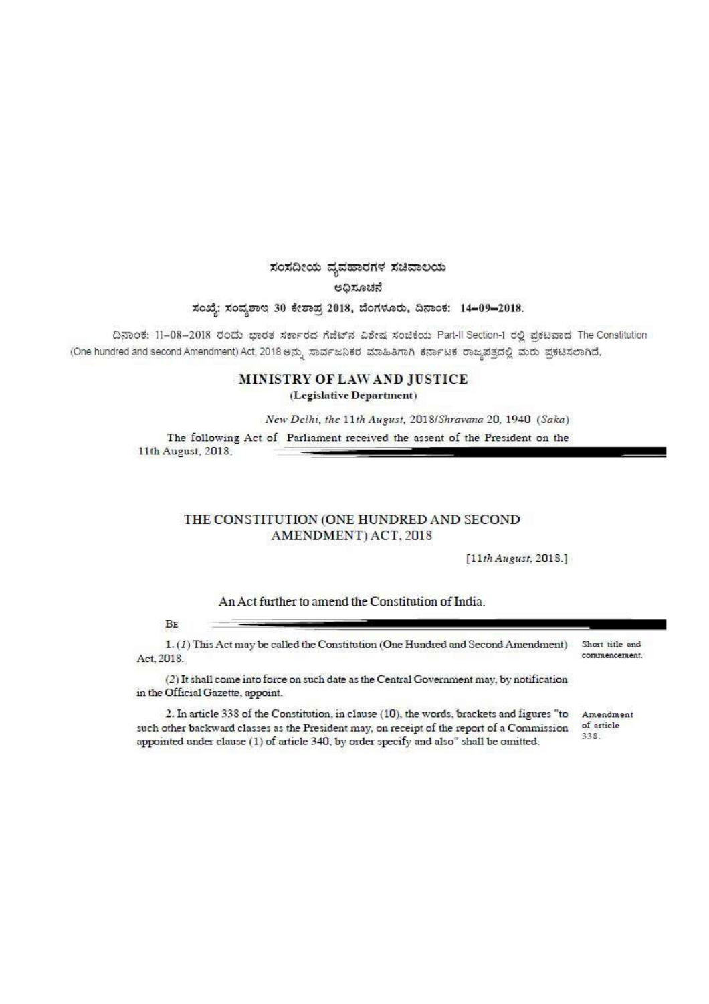## ಸಂಸದೀಯ ವ್ಯವಹಾರಗಳ ಸಚಿವಾಲಯ ಅಧಿಸೂಚನೆ

ಸಂಖ್ಯೆ: ಸಂವ್ಯಶಾಇ 30 ಕೇಶಾಪ್ರ 2018, ಬೆಂಗಳೂರು, ದಿನಾಂಕ: 14-09-2018.

ದಿನಾಂಕ: 11-08-2018 ರಂದು ಭಾರತ ಸರ್ಕಾರದ ಗೆಜೆಟ್ ವಿಶೇಷ ಸಂಚಿಕೆಯ Part-Il Section-1 ರಲ್ಲಿ ಪ್ರಕಟವಾದ The Constitution (One hundred and second Amendment) Act, 2018 ಅನ್ನು ಸಾರ್ವಜನಿಕರ ಮಾಹಿತಿಗಾಗಿ ಕರ್ನಾಟಕ ರಾಜ್ಯಪತ್ರದಲ್ಲಿ ಮರು ಪ್ರಕಟಿಸಲಾಗಿದೆ.

## MINISTRY OF LAW AND JUSTICE (Legislative Department)

New Delhi, the 11th August, 2018/Shravana 20, 1940 (Saka)

The following Act of Parliament received the assent of the President on the 11th August, 2018.

## THE CONSTITUTION (ONE HUNDRED AND SECOND AMENDMENT) ACT, 2018

 $[11th$  August, 2018.]

## An Act further to amend the Constitution of India.

BE

 $1.$  (1) This Act may be called the Constitution (One Hundred and Second Amendment) Short title and commencement. Act, 2018.

(2) It shall come into force on such date as the Central Government may, by notification in the Official Gazette, appoint.

2. In article 338 of the Constitution, in clause (10), the words, brackets and figures "to of article such other backward classes as the President may, on receipt of the report of a Commission 338. appointed under clause (1) of article 340, by order specify and also" shall be omitted.

Amendment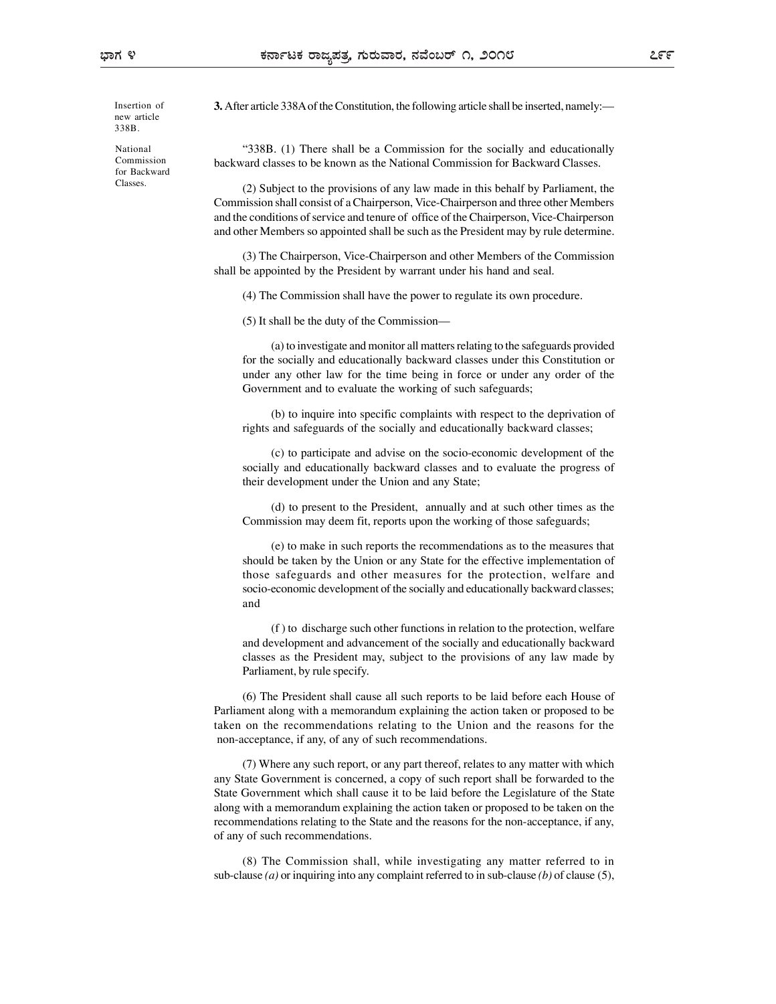new article 338B.

National for Backward Classes.

3. After article 338A of the Constitution, the following article shall be inserted, namely:— Insertion of

"338B. (1) There shall be a Commission for the socially and educationally backward classes to be known as the National Commission for Backward Classes. Commission

> (2) Subject to the provisions of any law made in this behalf by Parliament, the Commission shall consist of a Chairperson, Vice-Chairperson and three other Members and the conditions of service and tenure of office of the Chairperson, Vice-Chairperson and other Members so appointed shall be such as the President may by rule determine.

> (3) The Chairperson, Vice-Chairperson and other Members of the Commission shall be appointed by the President by warrant under his hand and seal.

(4) The Commission shall have the power to regulate its own procedure.

(5) It shall be the duty of the Commission—

(a) to investigate and monitor all matters relating to the safeguards provided for the socially and educationally backward classes under this Constitution or under any other law for the time being in force or under any order of the Government and to evaluate the working of such safeguards;

(b) to inquire into specific complaints with respect to the deprivation of rights and safeguards of the socially and educationally backward classes;

(c) to participate and advise on the socio-economic development of the socially and educationally backward classes and to evaluate the progress of their development under the Union and any State;

(d) to present to the President, annually and at such other times as the Commission may deem fit, reports upon the working of those safeguards;

(e) to make in such reports the recommendations as to the measures that should be taken by the Union or any State for the effective implementation of those safeguards and other measures for the protection, welfare and socio-economic development of the socially and educationally backward classes; and

(f ) to discharge such other functions in relation to the protection, welfare and development and advancement of the socially and educationally backward classes as the President may, subject to the provisions of any law made by Parliament, by rule specify.

(6) The President shall cause all such reports to be laid before each House of Parliament along with a memorandum explaining the action taken or proposed to be taken on the recommendations relating to the Union and the reasons for the non-acceptance, if any, of any of such recommendations.

(7) Where any such report, or any part thereof, relates to any matter with which any State Government is concerned, a copy of such report shall be forwarded to the State Government which shall cause it to be laid before the Legislature of the State along with a memorandum explaining the action taken or proposed to be taken on the recommendations relating to the State and the reasons for the non-acceptance, if any, of any of such recommendations.

(8) The Commission shall, while investigating any matter referred to in sub-clause (a) or inquiring into any complaint referred to in sub-clause (b) of clause (5),